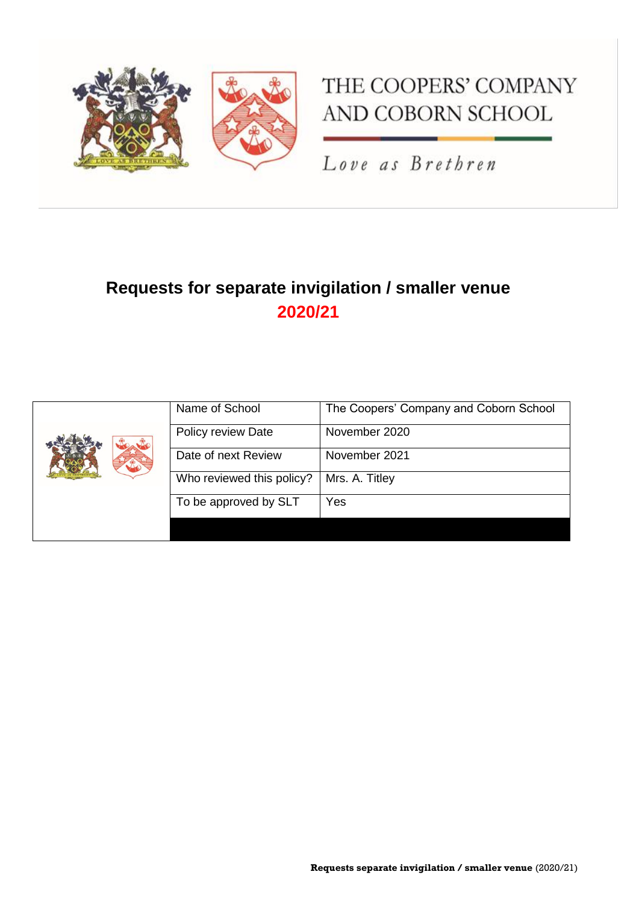

# THE COOPERS' COMPANY AND COBORN SCHOOL

Love as Brethren

## **Requests for separate invigilation / smaller venue 2020/21**

|  | Name of School            | The Coopers' Company and Coborn School |
|--|---------------------------|----------------------------------------|
|  | Policy review Date        | November 2020                          |
|  | Date of next Review       | November 2021                          |
|  | Who reviewed this policy? | Mrs. A. Titley                         |
|  | To be approved by SLT     | Yes                                    |
|  |                           |                                        |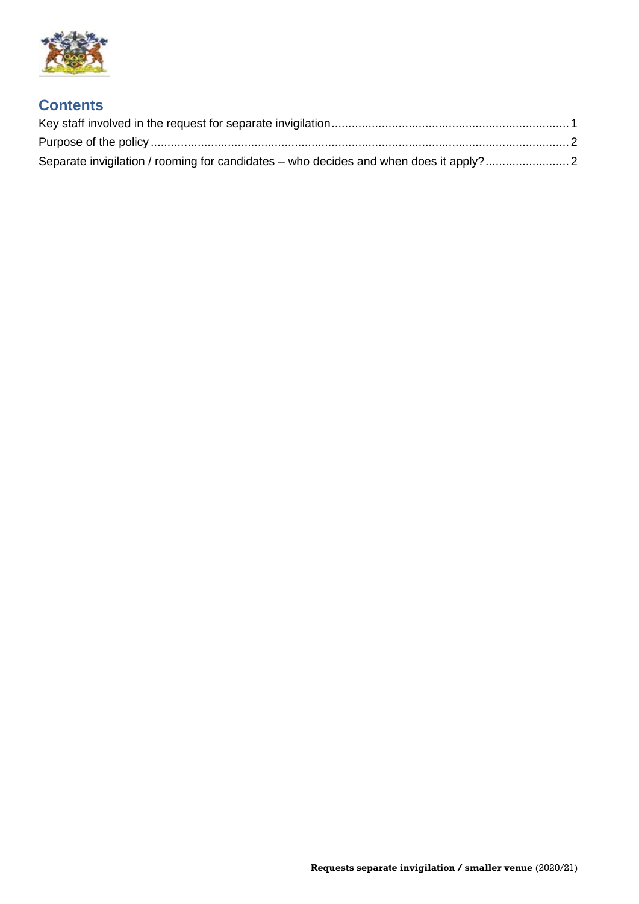

#### **Contents**

| Separate invigilation / rooming for candidates – who decides and when does it apply?2 |  |
|---------------------------------------------------------------------------------------|--|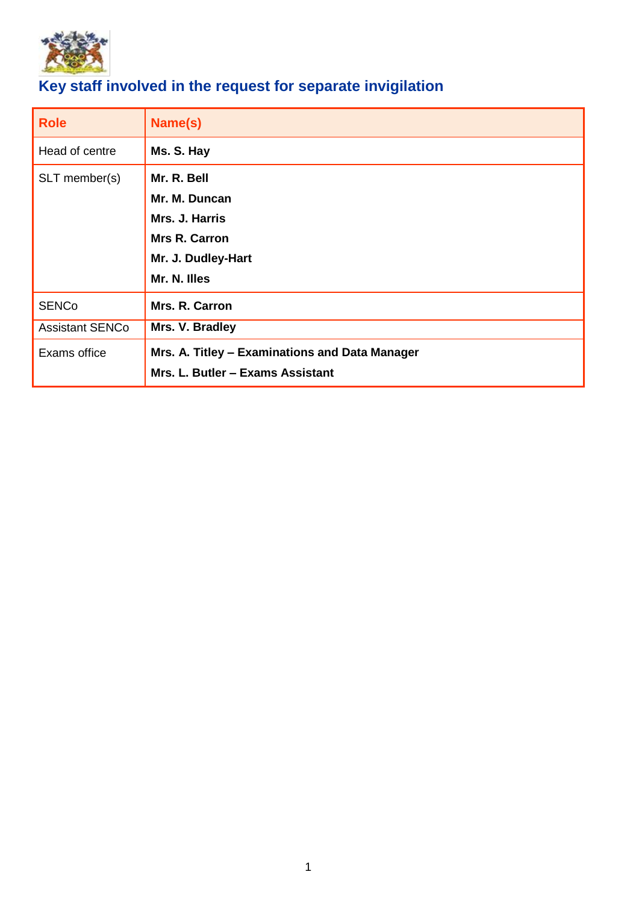

### <span id="page-2-0"></span>**Key staff involved in the request for separate invigilation**

| <b>Role</b>            | Name(s)                                                                                                      |  |
|------------------------|--------------------------------------------------------------------------------------------------------------|--|
| Head of centre         | Ms. S. Hay                                                                                                   |  |
| SLT member(s)          | Mr. R. Bell<br>Mr. M. Duncan<br>Mrs. J. Harris<br><b>Mrs R. Carron</b><br>Mr. J. Dudley-Hart<br>Mr. N. Illes |  |
| <b>SENCo</b>           | Mrs. R. Carron                                                                                               |  |
| <b>Assistant SENCo</b> | Mrs. V. Bradley                                                                                              |  |
| Exams office           | Mrs. A. Titley - Examinations and Data Manager<br>Mrs. L. Butler - Exams Assistant                           |  |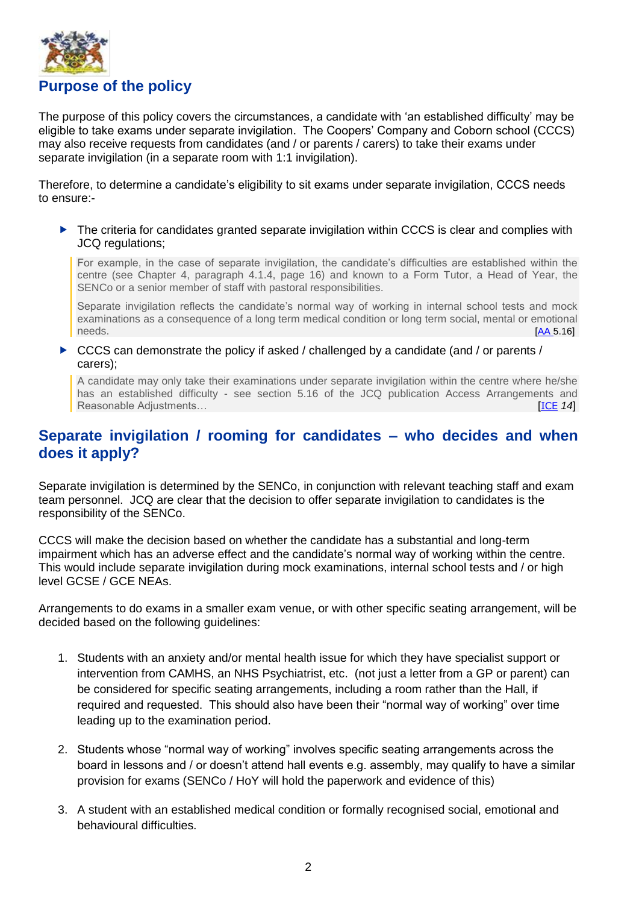

<span id="page-3-0"></span>The purpose of this policy covers the circumstances, a candidate with 'an established difficulty' may be eligible to take exams under separate invigilation. The Coopers' Company and Coborn school (CCCS) may also receive requests from candidates (and / or parents / carers) to take their exams under separate invigilation (in a separate room with 1:1 invigilation).

Therefore, to determine a candidate's eligibility to sit exams under separate invigilation, CCCS needs to ensure:-

▶ The criteria for candidates granted separate invigilation within CCCS is clear and complies with JCQ regulations;

For example, in the case of separate invigilation, the candidate's difficulties are established within the centre (see Chapter 4, paragraph 4.1.4, page 16) and known to a Form Tutor, a Head of Year, the SENCo or a senior member of staff with pastoral responsibilities.

Separate invigilation reflects the candidate's normal way of working in internal school tests and mock examinations as a consequence of a long term medical condition or long term social, mental or emotional needs.[\[AA](http://www.jcq.org.uk/exams-office/access-arrangements-and-special-consideration) 5.16]

 $\triangleright$  CCCS can demonstrate the policy if asked / challenged by a candidate (and / or parents / carers);

A candidate may only take their examinations under separate invigilation within the centre where he/she has an established difficulty - see section 5.16 of the JCQ publication Access Arrangements and Reasonable Adjustments… **Example 20** in the contract of the contract of the contract of the contract of the contract of the contract of the contract of the contract of the contract of the contract of the contract of the co

#### <span id="page-3-1"></span>**Separate invigilation / rooming for candidates – who decides and when does it apply?**

Separate invigilation is determined by the SENCo, in conjunction with relevant teaching staff and exam team personnel. JCQ are clear that the decision to offer separate invigilation to candidates is the responsibility of the SENCo.

CCCS will make the decision based on whether the candidate has a substantial and long-term impairment which has an adverse effect and the candidate's normal way of working within the centre. This would include separate invigilation during mock examinations, internal school tests and / or high level GCSE / GCE NEAs.

Arrangements to do exams in a smaller exam venue, or with other specific seating arrangement, will be decided based on the following guidelines:

- 1. Students with an anxiety and/or mental health issue for which they have specialist support or intervention from CAMHS, an NHS Psychiatrist, etc. (not just a letter from a GP or parent) can be considered for specific seating arrangements, including a room rather than the Hall, if required and requested. This should also have been their "normal way of working" over time leading up to the examination period.
- 2. Students whose "normal way of working" involves specific seating arrangements across the board in lessons and / or doesn't attend hall events e.g. assembly, may qualify to have a similar provision for exams (SENCo / HoY will hold the paperwork and evidence of this)
- 3. A student with an established medical condition or formally recognised social, emotional and behavioural difficulties.